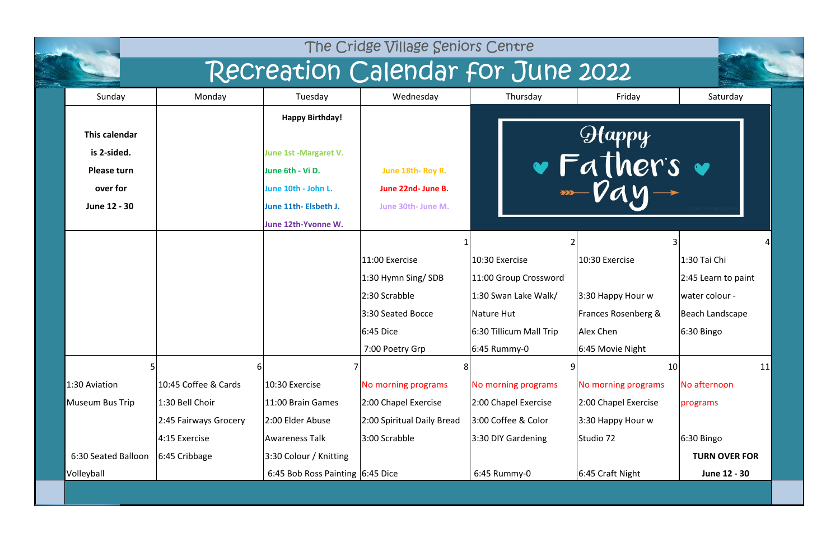| The Cridge Village Seniors Centre                                              |                                                         |                                                                                                                            |                                                                                         |                                                                                                          |                                                                              |                                                                                        |  |  |  |
|--------------------------------------------------------------------------------|---------------------------------------------------------|----------------------------------------------------------------------------------------------------------------------------|-----------------------------------------------------------------------------------------|----------------------------------------------------------------------------------------------------------|------------------------------------------------------------------------------|----------------------------------------------------------------------------------------|--|--|--|
|                                                                                |                                                         |                                                                                                                            | Recreation Calendar for June 2022                                                       |                                                                                                          |                                                                              |                                                                                        |  |  |  |
| Sunday                                                                         | Monday                                                  | Tuesday                                                                                                                    | Wednesday                                                                               | Thursday                                                                                                 | Friday                                                                       | Saturday                                                                               |  |  |  |
| This calendar<br>is 2-sided.<br><b>Please turn</b><br>over for<br>June 12 - 30 |                                                         | <b>Happy Birthday!</b><br><b>June 1st -Margaret V.</b><br>June 6th - Vi D.<br>June 10th - John L.<br>June 11th- Elsbeth J. | June 18th-Roy R.<br>June 22nd- June B.<br>June 30th- June M.                            |                                                                                                          | $\Theta$ tappy<br>· Father's                                                 |                                                                                        |  |  |  |
|                                                                                |                                                         | June 12th-Yvonne W.                                                                                                        | 11:00 Exercise<br>1:30 Hymn Sing/SDB<br>2:30 Scrabble<br>3:30 Seated Bocce<br>6:45 Dice | 10:30 Exercise<br>11:00 Group Crossword<br>1:30 Swan Lake Walk/<br>Nature Hut<br>6:30 Tillicum Mall Trip | 3<br>10:30 Exercise<br>3:30 Happy Hour w<br>Frances Rosenberg &<br>Alex Chen | 1:30 Tai Chi<br>2:45 Learn to paint<br>water colour -<br>Beach Landscape<br>6:30 Bingo |  |  |  |
| 5<br>1:30 Aviation<br>Museum Bus Trip                                          | 10:45 Coffee & Cards<br>1:30 Bell Choir                 | 10:30 Exercise<br>11:00 Brain Games                                                                                        | 7:00 Poetry Grp<br>No morning programs<br>2:00 Chapel Exercise                          | 6:45 Rummy-0<br>No morning programs<br>2:00 Chapel Exercise                                              | 6:45 Movie Night<br>10<br>No morning programs<br>2:00 Chapel Exercise        | 11<br>No afternoon<br>programs                                                         |  |  |  |
| 6:30 Seated Balloon<br>Volleyball                                              | 2:45 Fairways Grocery<br>4:15 Exercise<br>6:45 Cribbage | 2:00 Elder Abuse<br>Awareness Talk<br>3:30 Colour / Knitting<br>6:45 Bob Ross Painting 6:45 Dice                           | 2:00 Spiritual Daily Bread<br>3:00 Scrabble                                             | 3:00 Coffee & Color<br>3:30 DIY Gardening<br>6:45 Rummy-0                                                | 3:30 Happy Hour w<br>Studio 72<br>6:45 Craft Night                           | 6:30 Bingo<br><b>TURN OVER FOR</b><br>June 12 - 30                                     |  |  |  |